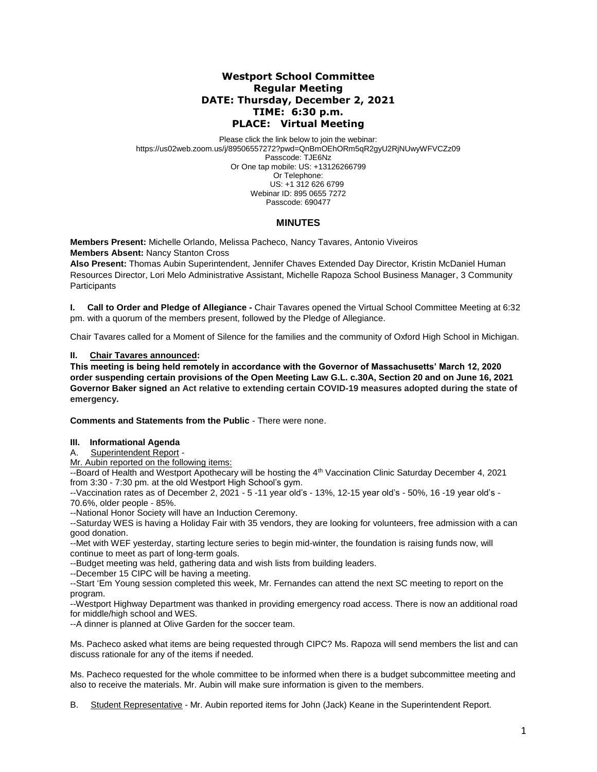## **Westport School Committee Regular Meeting DATE: Thursday, December 2, 2021 TIME: 6:30 p.m. PLACE: Virtual Meeting**

Please click the link below to join the webinar: https://us02web.zoom.us/j/89506557272?pwd=QnBmOEhORm5qR2gyU2RjNUwyWFVCZz09 Passcode: TJE6Nz Or One tap mobile: US: +13126266799 Or Telephone: US: +1 312 626 6799 Webinar ID: 895 0655 7272 Passcode: 690477

### **MINUTES**

**Members Present:** Michelle Orlando, Melissa Pacheco, Nancy Tavares, Antonio Viveiros **Members Absent:** Nancy Stanton Cross

**Also Present:** Thomas Aubin Superintendent, Jennifer Chaves Extended Day Director, Kristin McDaniel Human Resources Director, Lori Melo Administrative Assistant, Michelle Rapoza School Business Manager, 3 Community **Participants** 

**I. Call to Order and Pledge of Allegiance -** Chair Tavares opened the Virtual School Committee Meeting at 6:32 pm. with a quorum of the members present, followed by the Pledge of Allegiance.

Chair Tavares called for a Moment of Silence for the families and the community of Oxford High School in Michigan.

#### **II. Chair Tavares announced:**

**This meeting is being held remotely in accordance with the Governor of Massachusetts' March 12, 2020 order suspending certain provisions of the Open Meeting Law G.L. c.30A, Section 20 and on June 16, 2021 Governor Baker signed an Act relative to extending certain COVID-19 measures adopted during the state of emergency.**

**Comments and Statements from the Public** - There were none.

#### **III. Informational Agenda**

Superintendent Report -

Mr. Aubin reported on the following items:

--Board of Health and Westport Apothecary will be hosting the 4<sup>th</sup> Vaccination Clinic Saturday December 4, 2021 from 3:30 - 7:30 pm. at the old Westport High School's gym.

--Vaccination rates as of December 2, 2021 - 5 -11 year old's - 13%, 12-15 year old's - 50%, 16 -19 year old's - 70.6%, older people - 85%.

--National Honor Society will have an Induction Ceremony.

--Saturday WES is having a Holiday Fair with 35 vendors, they are looking for volunteers, free admission with a can good donation.

--Met with WEF yesterday, starting lecture series to begin mid-winter, the foundation is raising funds now, will continue to meet as part of long-term goals.

--Budget meeting was held, gathering data and wish lists from building leaders.

--December 15 CIPC will be having a meeting.

--Start 'Em Young session completed this week, Mr. Fernandes can attend the next SC meeting to report on the program.

--Westport Highway Department was thanked in providing emergency road access. There is now an additional road for middle/high school and WES.

--A dinner is planned at Olive Garden for the soccer team.

Ms. Pacheco asked what items are being requested through CIPC? Ms. Rapoza will send members the list and can discuss rationale for any of the items if needed.

Ms. Pacheco requested for the whole committee to be informed when there is a budget subcommittee meeting and also to receive the materials. Mr. Aubin will make sure information is given to the members.

B. Student Representative - Mr. Aubin reported items for John (Jack) Keane in the Superintendent Report.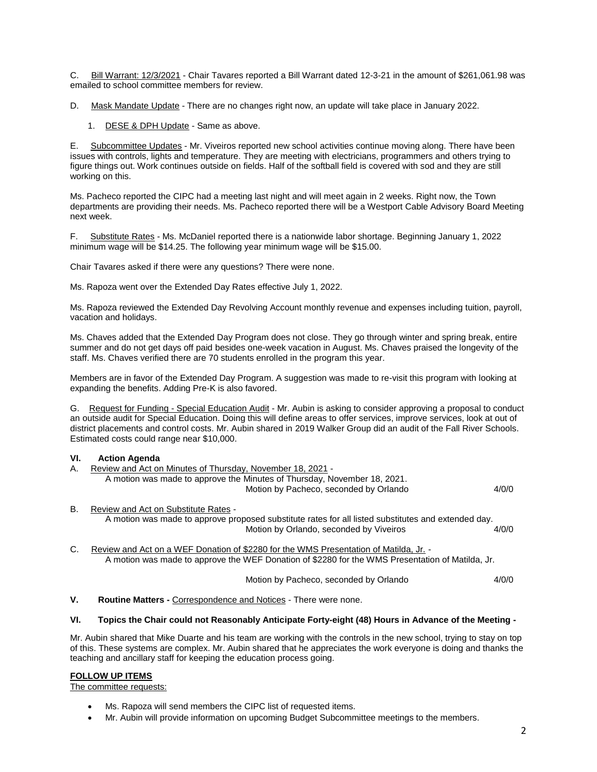C. Bill Warrant: 12/3/2021 - Chair Tavares reported a Bill Warrant dated 12-3-21 in the amount of \$261,061.98 was emailed to school committee members for review.

D. Mask Mandate Update - There are no changes right now, an update will take place in January 2022.

1. DESE & DPH Update - Same as above.

E. Subcommittee Updates - Mr. Viveiros reported new school activities continue moving along. There have been issues with controls, lights and temperature. They are meeting with electricians, programmers and others trying to figure things out. Work continues outside on fields. Half of the softball field is covered with sod and they are still working on this.

Ms. Pacheco reported the CIPC had a meeting last night and will meet again in 2 weeks. Right now, the Town departments are providing their needs. Ms. Pacheco reported there will be a Westport Cable Advisory Board Meeting next week.

F. Substitute Rates - Ms. McDaniel reported there is a nationwide labor shortage. Beginning January 1, 2022 minimum wage will be \$14.25. The following year minimum wage will be \$15.00.

Chair Tavares asked if there were any questions? There were none.

Ms. Rapoza went over the Extended Day Rates effective July 1, 2022.

Ms. Rapoza reviewed the Extended Day Revolving Account monthly revenue and expenses including tuition, payroll, vacation and holidays.

Ms. Chaves added that the Extended Day Program does not close. They go through winter and spring break, entire summer and do not get days off paid besides one-week vacation in August. Ms. Chaves praised the longevity of the staff. Ms. Chaves verified there are 70 students enrolled in the program this year.

Members are in favor of the Extended Day Program. A suggestion was made to re-visit this program with looking at expanding the benefits. Adding Pre-K is also favored.

G. Request for Funding - Special Education Audit - Mr. Aubin is asking to consider approving a proposal to conduct an outside audit for Special Education. Doing this will define areas to offer services, improve services, look at out of district placements and control costs. Mr. Aubin shared in 2019 Walker Group did an audit of the Fall River Schools. Estimated costs could range near \$10,000.

### **VI. Action Agenda**

- A. Review and Act on Minutes of Thursday, November 18, 2021 A motion was made to approve the Minutes of Thursday, November 18, 2021. Motion by Pacheco, seconded by Orlando 4/0/0
- B. Review and Act on Substitute Rates A motion was made to approve proposed substitute rates for all listed substitutes and extended day. Motion by Orlando, seconded by Viveiros 4/0/0
- C. Review and Act on a WEF Donation of \$2280 for the WMS Presentation of Matilda, Jr. A motion was made to approve the WEF Donation of \$2280 for the WMS Presentation of Matilda, Jr.

Motion by Pacheco, seconded by Orlando 4/0/0

**V. Routine Matters -** Correspondence and Notices - There were none.

#### **VI. Topics the Chair could not Reasonably Anticipate Forty-eight (48) Hours in Advance of the Meeting -**

Mr. Aubin shared that Mike Duarte and his team are working with the controls in the new school, trying to stay on top of this. These systems are complex. Mr. Aubin shared that he appreciates the work everyone is doing and thanks the teaching and ancillary staff for keeping the education process going.

# **FOLLOW UP ITEMS**

The committee requests:

- Ms. Rapoza will send members the CIPC list of requested items.
- Mr. Aubin will provide information on upcoming Budget Subcommittee meetings to the members.